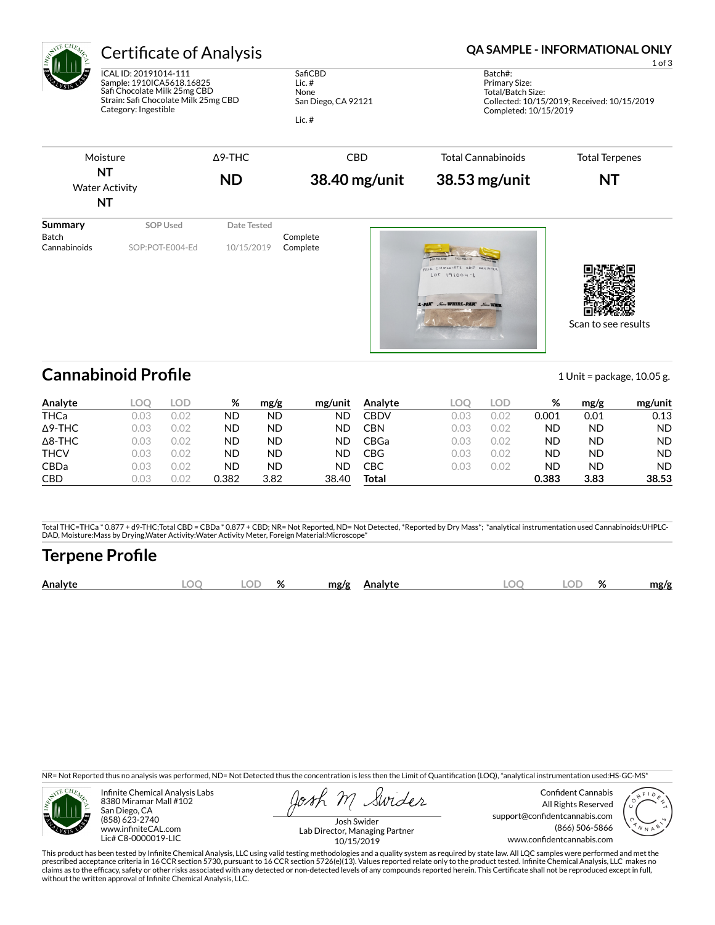| AVTE CHEL<br>ల<br>Summary<br><b>Batch</b><br>Cannabinoids | <b>Certificate of Analysis</b>                                                                                                                     |                |                                                                | QA SAMPLE - INFORMATIONAL ONLY<br>$1$ of $3$ |                                                                                |                                             |  |  |
|-----------------------------------------------------------|----------------------------------------------------------------------------------------------------------------------------------------------------|----------------|----------------------------------------------------------------|----------------------------------------------|--------------------------------------------------------------------------------|---------------------------------------------|--|--|
|                                                           | ICAL ID: 20191014-111<br>Sample: 1910ICA5618.16825<br>Safi Chocolate Milk 25mg CBD<br>Strain: Safi Chocolate Milk 25mg CBD<br>Category: Ingestible |                | SafiCBD<br>Lic. $#$<br>None<br>San Diego, CA 92121<br>Lic. $#$ |                                              | Batch#:<br>Primary Size:<br>Total/Batch Size:<br>Completed: 10/15/2019         | Collected: 10/15/2019; Received: 10/15/2019 |  |  |
|                                                           | Moisture                                                                                                                                           | $\Delta$ 9-THC | <b>CBD</b>                                                     |                                              | <b>Total Cannabinoids</b>                                                      | <b>Total Terpenes</b>                       |  |  |
|                                                           | <b>NT</b><br><b>Water Activity</b><br>NT                                                                                                           | <b>ND</b>      | 38.40 mg/unit                                                  |                                              | $38.53$ mg/unit                                                                | <b>NT</b>                                   |  |  |
|                                                           | <b>SOP Used</b>                                                                                                                                    | Date Tested    | Complete                                                       |                                              |                                                                                |                                             |  |  |
|                                                           | SOP:POT-E004-Ed                                                                                                                                    | 10/15/2019     | Complete                                                       |                                              | MILL CHOCOLATE COD CREARED<br>$LOT 191004 - 1$<br>L-PAK Nave WHIRL-PAK Nave WI | Scan to see results                         |  |  |

### **Cannabinoid Profile** 10.05 g.

**Analyte LOQ LOD % mg/g mg/unit** THCa 0.03 0.02 ND ND ND Δ9-THC 0.03 0.02 ND ND ND Δ8-THC 0.03 0.02 ND ND ND THCV 0.03 0.02 ND ND ND CBDa 0.03 0.02 ND ND ND CBD 0.03 0.02 0.382 3.82 38.40 **Analyte LOQ LOD % mg/g mg/unit** CBDV 0.03 0.02 0.001 0.01 0.13 CBN 0.03 0.02 ND ND ND CBGa 0.03 0.02 ND ND ND CBG 0.03 0.02 ND ND ND CBC 0.03 0.02 ND ND ND **Total 0.383 3.83 38.53**

Total THC=THCa \* 0.877 + d9-THC;Total CBD = CBDa \* 0.877 + CBD; NR= Not Reported, ND= Not Detected, \*Reported by Dry Mass\*; \*analytical instrumentation used Cannabinoids:UHPLC-<br>DAD, Moisture:Mass by Drying,Water Activity:W

### **Terpene Profile**

| OГ<br>$\mathbf{a}$<br>$\Gamma$<br>n/<br>Analyte<br>ЭΓ<br>mg/g<br>aalyte.<br>70<br>70<br>$\sim$<br>ຼ<br>$\sim$<br>- | mg/g |
|--------------------------------------------------------------------------------------------------------------------|------|
|--------------------------------------------------------------------------------------------------------------------|------|

NR= Not Reported thus no analysis was performed, ND= Not Detected thus the concentration is less then the Limit of Quantification (LOQ), \*analytical instrumentation used:HS-GC-MS\*



Infinite Chemical Analysis Labs 8380 Miramar Mall #102 San Diego, CA (858) 623-2740 www.infiniteCAL.com Lic# C8-0000019-LIC

Swider

Confident Cannabis All Rights Reserved support@confidentcannabis.com (866) 506-5866 www.confidentcannabis.com



Josh Swider Lab Director, Managing Partner 10/15/2019

This product has been tested by Infinite Chemical Analysis, LLC using valid testing methodologies and a quality system as required by state law. All LQC samples were performed and met the<br>prescribed acceptance criteria in without the written approval of Infinite Chemical Analysis, LLC.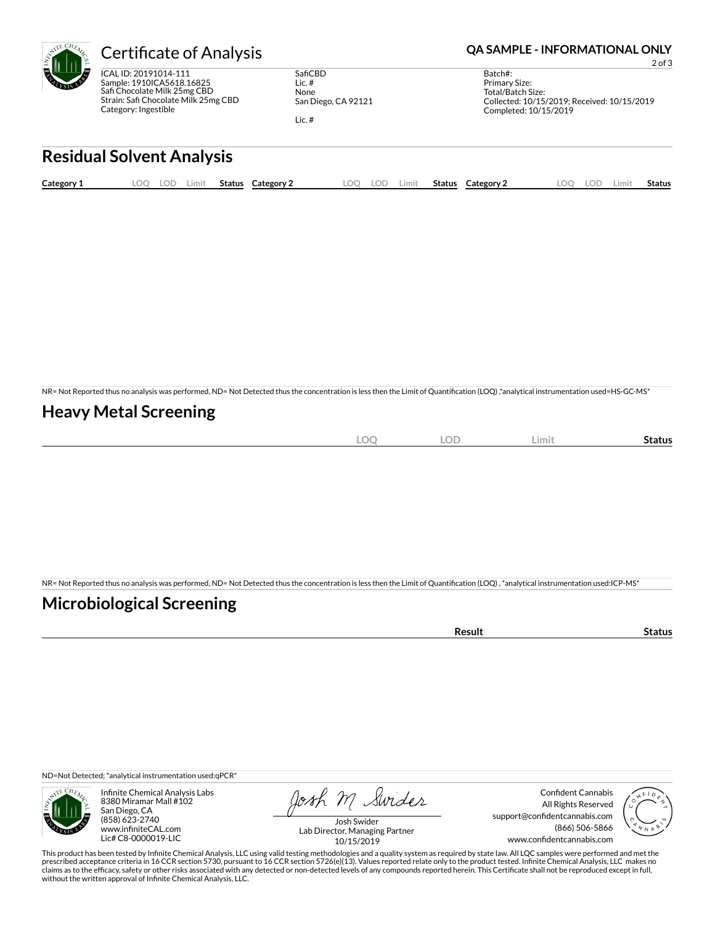

ICAL ID: 20191014-111 Sample: 1910ICA5618.16825 Safi Chocolate Milk 25mg CBD Strain: Safi Chocolate Milk 25mg CBD Category: Ingestible

SafiCBD Lic. # None San Diego, CA 92121 Lic. #

Certificate of Analysis **Certificate of Analysis QA SAMPLE - INFORMATIONAL ONLY** 

2 of 3

Batch#: Primary Size: Total/Batch Size: Collected: 10/15/2019; Received: 10/15/2019 Completed: 10/15/2019

# **Residual Solvent Analysis**

| Category 1 | OO. | LOD | .imit | Status | <b>Category 2</b> | ററ | LOD | Limit | <b>Status</b> | Category 2 | LOC | LOD | Limit | <b>Status</b> |
|------------|-----|-----|-------|--------|-------------------|----|-----|-------|---------------|------------|-----|-----|-------|---------------|
|            |     |     |       |        |                   |    |     |       |               |            |     |     |       |               |

NR= Not Reported thus no analysis was performed, ND= Not Detected thus the concentration is less then the Limit of Quantification (LOQ),\*analytical instrumentation used=HS-GC-MS\*

#### **Heavy Metal Screening**

|  | $\cap$<br><b>All</b><br>$-$<br>$\sim$ | <b>LOF</b> | Limit | Status |
|--|---------------------------------------|------------|-------|--------|
|--|---------------------------------------|------------|-------|--------|

NR= Not Reported thus no analysis was performed, ND= Not Detected thus the concentration is less then the Limit of Quantification (LOQ), \*analytical instrumentation used:ICP-MS\*

### **Microbiological Screening**

ND=Not Detected; \*analytical instrumentation used:qPCR\*



Infinite Chemical Analysis Labs 8380 Miramar Mall #102 San Diego, CA (858) 623-2740 www.infiniteCAL.com Lic# C8-0000019-LIC

Josh M Swider

Confident Cannabis All Rights Reserved support@confidentcannabis.com (866) 506-5866 www.confidentcannabis.com



Josh Swider Lab Director, Managing Partner 10/15/2019

This product has been tested by Infinite Chemical Analysis, LLC using valid testing methodologies and a quality system as required by state law. All LQC samples were performed and met the prescribed acceptance criteria in 16 CCR section 5730, pursuant to 16 CCR section 5726(e)(13). Values reported relate only to the product tested. Infinite Chemical Analysis, LLC makes no<br>claims as to the efficacy, safety o without the written approval of Infinite Chemical Analysis, LLC.